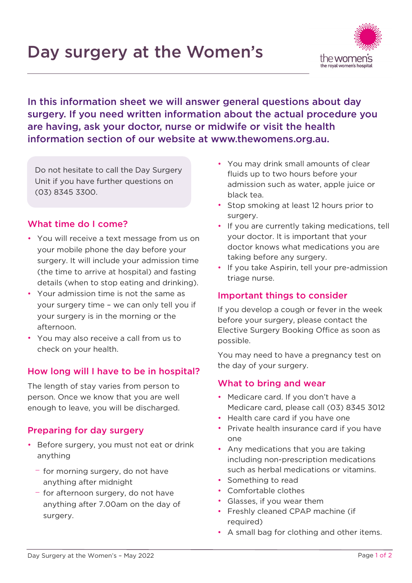# Day surgery at the Women's



In this information sheet we will answer general questions about day surgery. If you need written information about the actual procedure you are having, ask your doctor, nurse or midwife or visit the health information section of our website at [www.thewomens.org.au.](https://thewomens-my.sharepoint.com/personal/canalsj_thewomens_org_au/Documents/www.thewomens.org.au)

Do not hesitate to call the Day Surgery Unit if you have further questions on (03) 8345 3300.

## What time do I come?

- You will receive a text message from us on your mobile phone the day before your surgery. It will include your admission time (the time to arrive at hospital) and fasting details (when to stop eating and drinking).
- Your admission time is not the same as your surgery time – we can only tell you if your surgery is in the morning or the afternoon.
- You may also receive a call from us to check on your health.

## How long will I have to be in hospital?

The length of stay varies from person to person. Once we know that you are well enough to leave, you will be discharged.

#### Preparing for day surgery

- Before surgery, you must not eat or drink anything
	- − for morning surgery, do not have anything after midnight
	- − for afternoon surgery, do not have anything after 7.00am on the day of surgery.
- You may drink small amounts of clear fluids up to two hours before your admission such as water, apple juice or black tea.
- Stop smoking at least 12 hours prior to surgery.
- If you are currently taking medications, tell your doctor. It is important that your doctor knows what medications you are taking before any surgery.
- If you take Aspirin, tell your pre-admission triage nurse.

## Important things to consider

If you develop a cough or fever in the week before your surgery, please contact the Elective Surgery Booking Office as soon as possible.

You may need to have a pregnancy test on the day of your surgery.

#### What to bring and wear

- Medicare card. If you don't have a Medicare card, please call (03) 8345 3012
- Health care card if you have one
- Private health insurance card if you have one
- Any medications that you are taking including non-prescription medications such as herbal medications or vitamins.
- Something to read
- Comfortable clothes
- Glasses, if you wear them
- Freshly cleaned CPAP machine (if required)
- A small bag for clothing and other items.